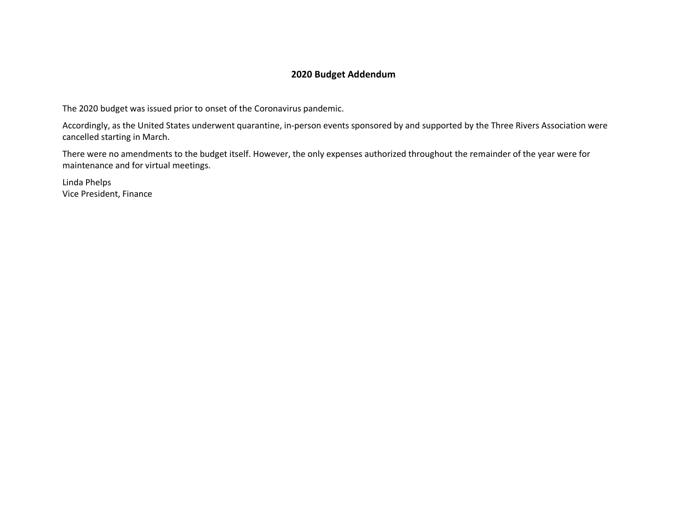#### **2020 Budget Addendum**

The 2020 budget was issued prior to onset of the Coronavirus pandemic.

Accordingly, as the United States underwent quarantine, in-person events sponsored by and supported by the Three Rivers Association were cancelled starting in March.

There were no amendments to the budget itself. However, the only expenses authorized throughout the remainder of the year were for maintenance and for virtual meetings.

Linda Phelps Vice President, Finance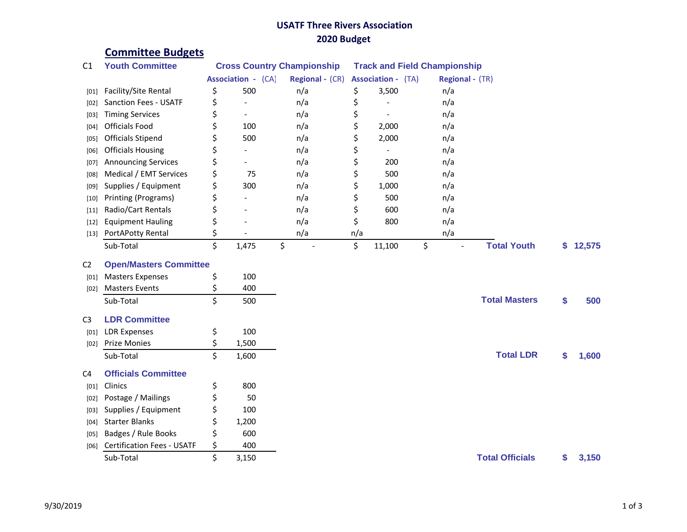## **USATF Three Rivers Association 2020 Budget**

# **Committee Budgets**

| C <sub>1</sub> | <b>Youth Committee</b>            | <b>Cross Country Championship</b> |                          |                      | <b>Track and Field Championship</b> |        |                                |                        |    |        |  |
|----------------|-----------------------------------|-----------------------------------|--------------------------|----------------------|-------------------------------------|--------|--------------------------------|------------------------|----|--------|--|
|                |                                   | <b>Association - (CA)</b>         |                          | Regional - (CR)      | <b>Association - (TA)</b>           |        | Regional - (TR)                |                        |    |        |  |
| [01]           | Facility/Site Rental              | \$                                | 500                      | n/a                  | \$                                  | 3,500  | n/a                            |                        |    |        |  |
| $[02]$         | <b>Sanction Fees - USATF</b>      | \$                                | $\overline{\phantom{a}}$ | n/a                  | \$                                  |        | n/a                            |                        |    |        |  |
| [03]           | <b>Timing Services</b>            | \$                                | $\overline{\phantom{a}}$ | n/a                  | \$                                  |        | n/a                            |                        |    |        |  |
| [04]           | <b>Officials Food</b>             | \$                                | 100                      | n/a                  | \$                                  | 2,000  | n/a                            |                        |    |        |  |
| [05]           | <b>Officials Stipend</b>          | \$                                | 500                      | n/a                  | \$                                  | 2,000  | n/a                            |                        |    |        |  |
| [06]           | <b>Officials Housing</b>          | \$                                |                          | n/a                  | \$                                  |        | n/a                            |                        |    |        |  |
| $[07]$         | <b>Announcing Services</b>        | \$                                |                          | n/a                  | \$                                  | 200    | n/a                            |                        |    |        |  |
| [08]           | Medical / EMT Services            | \$                                | 75                       | n/a                  | \$                                  | 500    | n/a                            |                        |    |        |  |
| [09]           | Supplies / Equipment              | \$                                | 300                      | n/a                  | \$                                  | 1,000  | n/a                            |                        |    |        |  |
| $[10]$         | Printing (Programs)               | \$                                |                          | n/a                  | \$                                  | 500    | n/a                            |                        |    |        |  |
| $[11]$         | Radio/Cart Rentals                | \$                                |                          | n/a                  | \$                                  | 600    | n/a                            |                        |    |        |  |
| $[12]$         | <b>Equipment Hauling</b>          | \$                                |                          | n/a                  | \$                                  | 800    | n/a                            |                        |    |        |  |
| $[13]$         | PortAPotty Rental                 | \$                                |                          | n/a                  | n/a                                 |        | n/a                            |                        |    |        |  |
|                | Sub-Total                         | \$                                | 1,475                    | \$<br>$\overline{a}$ | \$                                  | 11,100 | \$<br>$\overline{\phantom{a}}$ | <b>Total Youth</b>     | \$ | 12,575 |  |
| C <sub>2</sub> | <b>Open/Masters Committee</b>     |                                   |                          |                      |                                     |        |                                |                        |    |        |  |
| [01]           | <b>Masters Expenses</b>           | \$                                | 100                      |                      |                                     |        |                                |                        |    |        |  |
| [02]           | <b>Masters Events</b>             | \$                                | 400                      |                      |                                     |        |                                |                        |    |        |  |
|                | Sub-Total                         | Ś                                 | 500                      |                      |                                     |        |                                | <b>Total Masters</b>   | \$ | 500    |  |
| C <sub>3</sub> | <b>LDR Committee</b>              |                                   |                          |                      |                                     |        |                                |                        |    |        |  |
| [01]           | <b>LDR Expenses</b>               | \$                                | 100                      |                      |                                     |        |                                |                        |    |        |  |
| [02]           | <b>Prize Monies</b>               | \$                                | 1,500                    |                      |                                     |        |                                |                        |    |        |  |
|                | Sub-Total                         | \$                                | 1,600                    |                      |                                     |        |                                | <b>Total LDR</b>       | \$ | 1,600  |  |
| C <sub>4</sub> | <b>Officials Committee</b>        |                                   |                          |                      |                                     |        |                                |                        |    |        |  |
| [01]           | Clinics                           | \$                                | 800                      |                      |                                     |        |                                |                        |    |        |  |
| [02]           | Postage / Mailings                | \$                                | 50                       |                      |                                     |        |                                |                        |    |        |  |
| $[03]$         | Supplies / Equipment              | \$                                | 100                      |                      |                                     |        |                                |                        |    |        |  |
| [04]           | <b>Starter Blanks</b>             | \$                                | 1,200                    |                      |                                     |        |                                |                        |    |        |  |
| [05]           | Badges / Rule Books               | \$                                | 600                      |                      |                                     |        |                                |                        |    |        |  |
| [06]           | <b>Certification Fees - USATF</b> | \$                                | 400                      |                      |                                     |        |                                |                        |    |        |  |
|                | Sub-Total                         | Ś                                 | 3,150                    |                      |                                     |        |                                | <b>Total Officials</b> | \$ | 3,150  |  |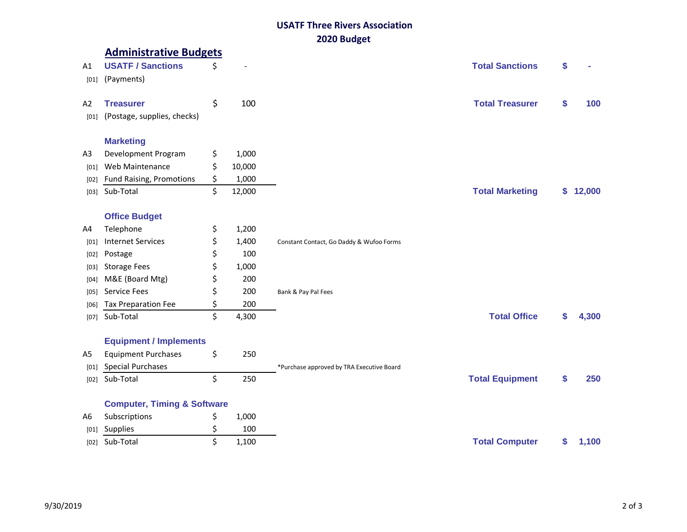## **USATF Three Rivers Association 2020 Budget**

|                | <b>Administrative Budgets</b>          |              |                                           |                        |    |        |
|----------------|----------------------------------------|--------------|-------------------------------------------|------------------------|----|--------|
| A1             | <b>USATF / Sanctions</b>               | \$           |                                           | <b>Total Sanctions</b> | \$ |        |
| [01]           | (Payments)                             |              |                                           |                        |    |        |
|                |                                        |              |                                           |                        |    |        |
| A <sub>2</sub> | <b>Treasurer</b>                       | \$<br>100    |                                           | <b>Total Treasurer</b> | \$ | 100    |
| [01]           | (Postage, supplies, checks)            |              |                                           |                        |    |        |
|                |                                        |              |                                           |                        |    |        |
|                | <b>Marketing</b>                       |              |                                           |                        |    |        |
| A3             | Development Program                    | \$<br>1,000  |                                           |                        |    |        |
| [01]           | Web Maintenance                        | \$<br>10,000 |                                           |                        |    |        |
| [02]           | <b>Fund Raising, Promotions</b>        | \$<br>1,000  |                                           |                        |    |        |
| [03]           | Sub-Total                              | \$<br>12,000 |                                           | <b>Total Marketing</b> | \$ | 12,000 |
|                |                                        |              |                                           |                        |    |        |
|                | <b>Office Budget</b>                   |              |                                           |                        |    |        |
| A4             | Telephone                              | \$<br>1,200  |                                           |                        |    |        |
| [01]           | <b>Internet Services</b>               | \$<br>1,400  | Constant Contact, Go Daddy & Wufoo Forms  |                        |    |        |
| [02]           | Postage                                | \$<br>100    |                                           |                        |    |        |
| $[03]$         | <b>Storage Fees</b>                    | \$<br>1,000  |                                           |                        |    |        |
| $[04]$         | M&E (Board Mtg)                        | \$<br>200    |                                           |                        |    |        |
| [05]           | Service Fees                           | \$<br>200    | Bank & Pay Pal Fees                       |                        |    |        |
| [06]           | Tax Preparation Fee                    | \$<br>200    |                                           |                        |    |        |
|                | [07] Sub-Total                         | \$<br>4,300  |                                           | <b>Total Office</b>    | S  | 4,300  |
|                |                                        |              |                                           |                        |    |        |
|                | <b>Equipment / Implements</b>          |              |                                           |                        |    |        |
| A <sub>5</sub> | <b>Equipment Purchases</b>             | \$<br>250    |                                           |                        |    |        |
| [01]           | <b>Special Purchases</b>               |              | *Purchase approved by TRA Executive Board |                        |    |        |
|                | [02] Sub-Total                         | \$<br>250    |                                           | <b>Total Equipment</b> | \$ | 250    |
|                |                                        |              |                                           |                        |    |        |
|                | <b>Computer, Timing &amp; Software</b> |              |                                           |                        |    |        |
| A6             | Subscriptions                          | \$<br>1,000  |                                           |                        |    |        |
| [01]           | Supplies                               | \$<br>100    |                                           |                        |    |        |
|                | [02] Sub-Total                         | \$<br>1,100  |                                           | <b>Total Computer</b>  | \$ | 1,100  |